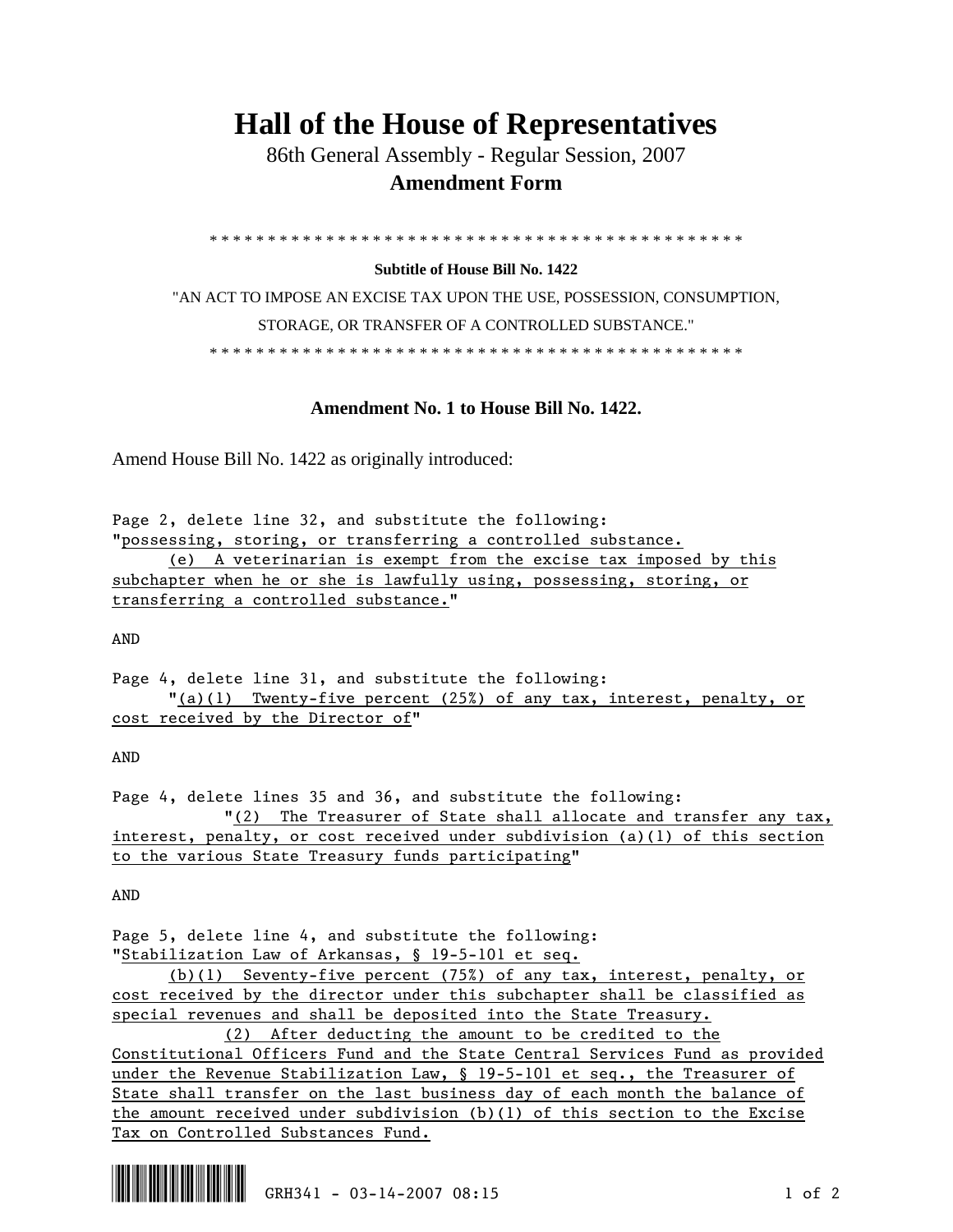## **Hall of the House of Representatives**

 86th General Assembly - Regular Session, 2007  **Amendment Form** 

\* \* \* \* \* \* \* \* \* \* \* \* \* \* \* \* \* \* \* \* \* \* \* \* \* \* \* \* \* \* \* \* \* \* \* \* \* \* \* \* \* \* \* \* \* \*

## **Subtitle of House Bill No. 1422**

"AN ACT TO IMPOSE AN EXCISE TAX UPON THE USE, POSSESSION, CONSUMPTION, STORAGE, OR TRANSFER OF A CONTROLLED SUBSTANCE." \* \* \* \* \* \* \* \* \* \* \* \* \* \* \* \* \* \* \* \* \* \* \* \* \* \* \* \* \* \* \* \* \* \* \* \* \* \* \* \* \* \* \* \* \* \*

## **Amendment No. 1 to House Bill No. 1422.**

Amend House Bill No. 1422 as originally introduced:

Page 2, delete line 32, and substitute the following: "possessing, storing, or transferring a controlled substance.

 (e) A veterinarian is exempt from the excise tax imposed by this subchapter when he or she is lawfully using, possessing, storing, or transferring a controlled substance."

AND

Page 4, delete line 31, and substitute the following: "(a)(1) Twenty-five percent (25%) of any tax, interest, penalty, or cost received by the Director of"

AND

Page 4, delete lines 35 and 36, and substitute the following: "(2) The Treasurer of State shall allocate and transfer any tax, interest, penalty, or cost received under subdivision (a)(1) of this section to the various State Treasury funds participating"

AND

Page 5, delete line 4, and substitute the following: "Stabilization Law of Arkansas, § 19-5-101 et seq.

 (b)(1) Seventy-five percent (75%) of any tax, interest, penalty, or cost received by the director under this subchapter shall be classified as special revenues and shall be deposited into the State Treasury.

 (2) After deducting the amount to be credited to the Constitutional Officers Fund and the State Central Services Fund as provided under the Revenue Stabilization Law, § 19-5-101 et seq., the Treasurer of State shall transfer on the last business day of each month the balance of the amount received under subdivision  $(b)(1)$  of this section to the Excise Tax on Controlled Substances Fund.